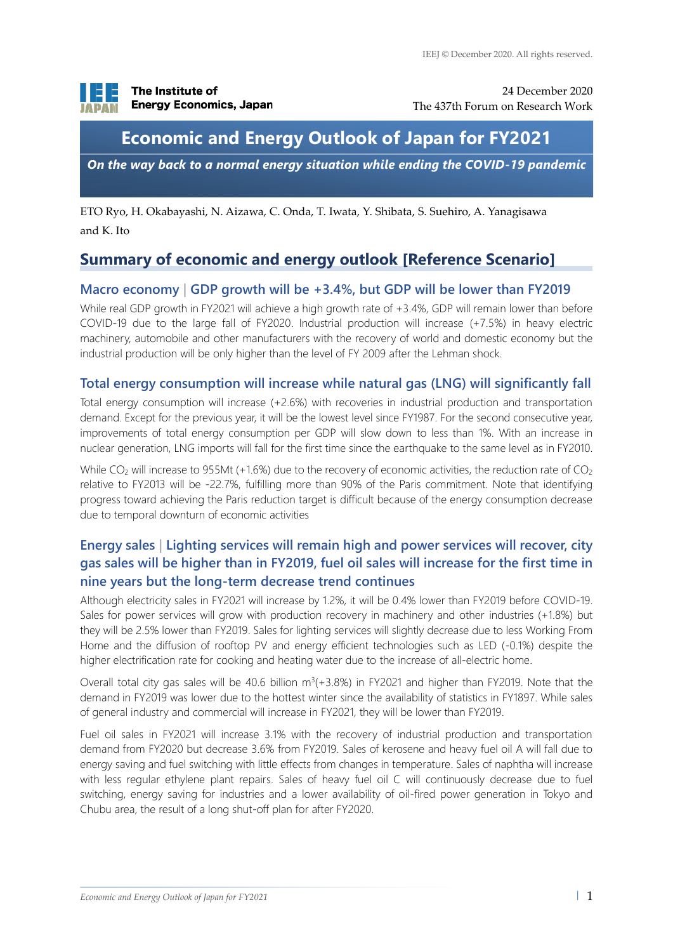

24 December 2020 The 437th Forum on Research Work

## **Economic and Energy Outlook of Japan for FY2021**

*On the way back to a normal energy situation while ending the COVID-19 pandemic*

ETO Ryo, H. Okabayashi, N. Aizawa, C. Onda, T. Iwata, Y. Shibata, S. Suehiro, A. Yanagisawa and K. Ito

### **Summary of economic and energy outlook [Reference Scenario]**

### **Macro economy | GDP growth will be +3.4%, but GDP will be lower than FY2019**

While real GDP growth in FY2021 will achieve a high growth rate of +3.4%, GDP will remain lower than before COVID-19 due to the large fall of FY2020. Industrial production will increase (+7.5%) in heavy electric machinery, automobile and other manufacturers with the recovery of world and domestic economy but the industrial production will be only higher than the level of FY 2009 after the Lehman shock.

### **Total energy consumption will increase while natural gas (LNG) will significantly fall**

Total energy consumption will increase (+2.6%) with recoveries in industrial production and transportation demand. Except for the previous year, it will be the lowest level since FY1987. For the second consecutive year, improvements of total energy consumption per GDP will slow down to less than 1%. With an increase in nuclear generation, LNG imports will fall for the first time since the earthquake to the same level as in FY2010.

While CO<sub>2</sub> will increase to 955Mt (+1.6%) due to the recovery of economic activities, the reduction rate of CO<sub>2</sub> relative to FY2013 will be -22.7%, fulfilling more than 90% of the Paris commitment. Note that identifying progress toward achieving the Paris reduction target is difficult because of the energy consumption decrease due to temporal downturn of economic activities

### **Energy sales | Lighting services will remain high and power services will recover, city gas sales will be higher than in FY2019, fuel oil sales will increase for the first time in nine years but the long-term decrease trend continues**

Although electricity sales in FY2021 will increase by 1.2%, it will be 0.4% lower than FY2019 before COVID-19. Sales for power services will grow with production recovery in machinery and other industries (+1.8%) but they will be 2.5% lower than FY2019. Sales for lighting services will slightly decrease due to less Working From Home and the diffusion of rooftop PV and energy efficient technologies such as LED (-0.1%) despite the higher electrification rate for cooking and heating water due to the increase of all-electric home.

Overall total city gas sales will be 40.6 billion  $m^3(+3.8%)$  in FY2021 and higher than FY2019. Note that the demand in FY2019 was lower due to the hottest winter since the availability of statistics in FY1897. While sales of general industry and commercial will increase in FY2021, they will be lower than FY2019.

Fuel oil sales in FY2021 will increase 3.1% with the recovery of industrial production and transportation demand from FY2020 but decrease 3.6% from FY2019. Sales of kerosene and heavy fuel oil A will fall due to energy saving and fuel switching with little effects from changes in temperature. Sales of naphtha will increase with less regular ethylene plant repairs. Sales of heavy fuel oil C will continuously decrease due to fuel switching, energy saving for industries and a lower availability of oil-fired power generation in Tokyo and Chubu area, the result of a long shut-off plan for after FY2020.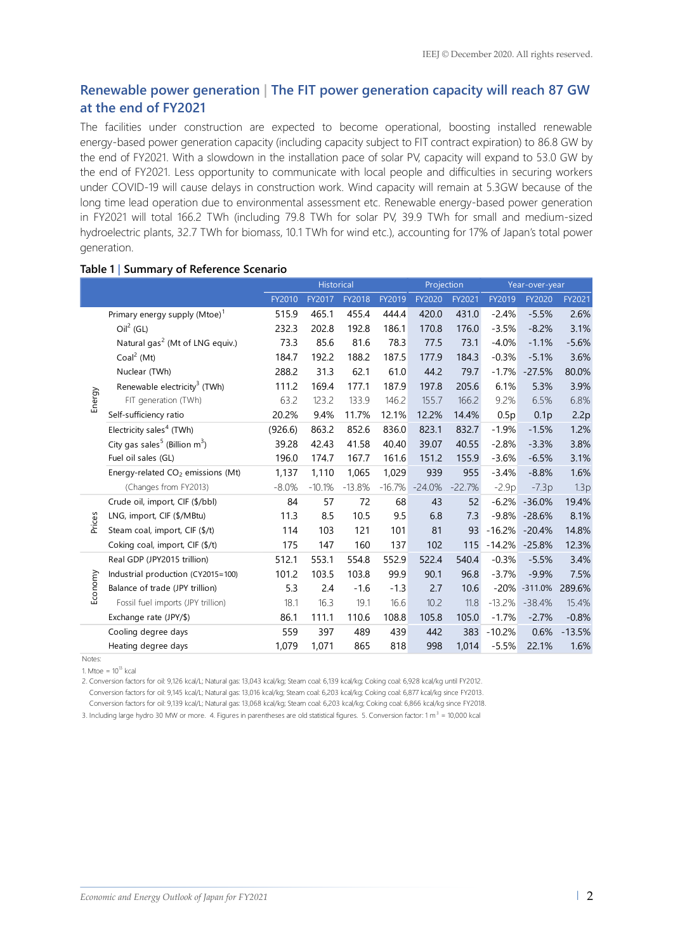### **Renewable power generation | The FIT power generation capacity will reach 87 GW at the end of FY2021**

The facilities under construction are expected to become operational, boosting installed renewable energy-based power generation capacity (including capacity subject to FIT contract expiration) to 86.8 GW by the end of FY2021. With a slowdown in the installation pace of solar PV, capacity will expand to 53.0 GW by the end of FY2021. Less opportunity to communicate with local people and difficulties in securing workers under COVID-19 will cause delays in construction work. Wind capacity will remain at 5.3GW because of the long time lead operation due to environmental assessment etc. Renewable energy-based power generation in FY2021 will total 166.2 TWh (including 79.8 TWh for solar PV, 39.9 TWh for small and medium-sized hydroelectric plants, 32.7 TWh for biomass, 10.1 TWh for wind etc.), accounting for 17% of Japan's total power generation.

#### **Table 1 | Summary of Reference Scenario**

|         |                                               | <b>Historical</b> |          |          |          | Projection |          | Year-over-year |                  |          |
|---------|-----------------------------------------------|-------------------|----------|----------|----------|------------|----------|----------------|------------------|----------|
|         |                                               | FY2010            | FY2017   | FY2018   | FY2019   | FY2020     | FY2021   | FY2019         | FY2020           | FY2021   |
| Energy  | Primary energy supply $(Mtoe)^1$              | 515.9             | 465.1    | 455.4    | 444.4    | 420.0      | 431.0    | $-2.4%$        | $-5.5%$          | 2.6%     |
|         | $Oil2$ (GL)                                   | 232.3             | 202.8    | 192.8    | 186.1    | 170.8      | 176.0    | $-3.5%$        | $-8.2%$          | 3.1%     |
|         | Natural gas <sup>2</sup> (Mt of LNG equiv.)   | 73.3              | 85.6     | 81.6     | 78.3     | 77.5       | 73.1     | $-4.0%$        | $-1.1%$          | $-5.6%$  |
|         | Coal <sup>2</sup> (Mt)                        | 184.7             | 192.2    | 188.2    | 187.5    | 177.9      | 184.3    | $-0.3%$        | $-5.1%$          | 3.6%     |
|         | Nuclear (TWh)                                 | 288.2             | 31.3     | 62.1     | 61.0     | 44.2       | 79.7     | $-1.7%$        | $-27.5%$         | 80.0%    |
|         | Renewable electricity <sup>3</sup> (TWh)      | 111.2             | 169.4    | 177.1    | 187.9    | 197.8      | 205.6    | 6.1%           | 5.3%             | 3.9%     |
|         | FIT generation (TWh)                          | 63.2              | 123.2    | 133.9    | 146.2    | 155.7      | 166.2    | 9.2%           | 6.5%             | 6.8%     |
|         | Self-sufficiency ratio                        | 20.2%             | 9.4%     | 11.7%    | 12.1%    | 12.2%      | 14.4%    | 0.5p           | 0.1 <sub>p</sub> | 2.2p     |
|         | Electricity sales <sup>4</sup> (TWh)          | (926.6)           | 863.2    | 852.6    | 836.0    | 823.1      | 832.7    | $-1.9%$        | $-1.5%$          | 1.2%     |
|         | City gas sales <sup>5</sup> (Billion $m^3$ )  | 39.28             | 42.43    | 41.58    | 40.40    | 39.07      | 40.55    | $-2.8%$        | $-3.3%$          | 3.8%     |
|         | Fuel oil sales (GL)                           | 196.0             | 174.7    | 167.7    | 161.6    | 151.2      | 155.9    | $-3.6%$        | $-6.5%$          | 3.1%     |
|         | Energy-related CO <sub>2</sub> emissions (Mt) | 1,137             | 1,110    | 1,065    | 1,029    | 939        | 955      | $-3.4%$        | $-8.8%$          | 1.6%     |
|         | (Changes from FY2013)                         | $-8.0%$           | $-10.1%$ | $-13.8%$ | $-16.7%$ | $-24.0%$   | $-22.7%$ | $-2.9p$        | $-7.3p$          | 1.3p     |
| Prices  | Crude oil, import, CIF (\$/bbl)               | 84                | 57       | 72       | 68       | 43         | 52       | $-6.2%$        | $-36.0%$         | 19.4%    |
|         | LNG, import, CIF (\$/MBtu)                    | 11.3              | 8.5      | 10.5     | 9.5      | 6.8        | 7.3      | $-9.8%$        | $-28.6%$         | 8.1%     |
|         | Steam coal, import, CIF (\$/t)                | 114               | 103      | 121      | 101      | 81         | 93       | $-16.2%$       | $-20.4%$         | 14.8%    |
|         | Coking coal, import, CIF (\$/t)               | 175               | 147      | 160      | 137      | 102        | 115      | $-14.2%$       | $-25.8%$         | 12.3%    |
| Economy | Real GDP (JPY2015 trillion)                   | 512.1             | 553.1    | 554.8    | 552.9    | 522.4      | 540.4    | $-0.3%$        | $-5.5%$          | 3.4%     |
|         | Industrial production (CY2015=100)            | 101.2             | 103.5    | 103.8    | 99.9     | 90.1       | 96.8     | $-3.7%$        | $-9.9%$          | 7.5%     |
|         | Balance of trade (JPY trillion)               | 5.3               | 2.4      | $-1.6$   | $-1.3$   | 2.7        | 10.6     | $-20%$         | $-311.0%$        | 289.6%   |
|         | Fossil fuel imports (JPY trillion)            | 18.1              | 16.3     | 19.1     | 16.6     | 10.2       | 11.8     | $-13.2%$       | $-38.4%$         | 15.4%    |
|         | Exchange rate (JPY/\$)                        | 86.1              | 111.1    | 110.6    | 108.8    | 105.8      | 105.0    | $-1.7%$        | $-2.7%$          | $-0.8%$  |
|         | Cooling degree days                           | 559               | 397      | 489      | 439      | 442        | 383      | $-10.2%$       | 0.6%             | $-13.5%$ |
|         | Heating degree days                           | 1,079             | 1,071    | 865      | 818      | 998        | 1,014    | $-5.5%$        | 22.1%            | 1.6%     |

Notes:

1. Mtoe =  $10^{13}$  kcal

2. Conversion factors for oil: 9,126 kcal/L; Natural gas: 13,043 kcal/kg; Steam coal: 6,139 kcal/kg; Coking coal: 6,928 kcal/kg until FY2012. 2 . Conversion factors for oil: 9,145 kcal/L; Natural gas: 13,016 kcal/kg; Steam coal: 6,203 kcal/kg; Coking coal: 6,877 kcal/kg since FY2013. 2 . Conversion factors for oil: 9,139 kcal/L; Natural gas: 13,068 kcal/kg; Steam coal: 6,203 kcal/kg; Coking coal: 6,866 kcal/kg since FY2018.

3. Including large hydro 30 MW or more. 4. Figures in parentheses are old statistical figures. 5. Conversion factor: 1 m<sup>3</sup> = 10,000 kcal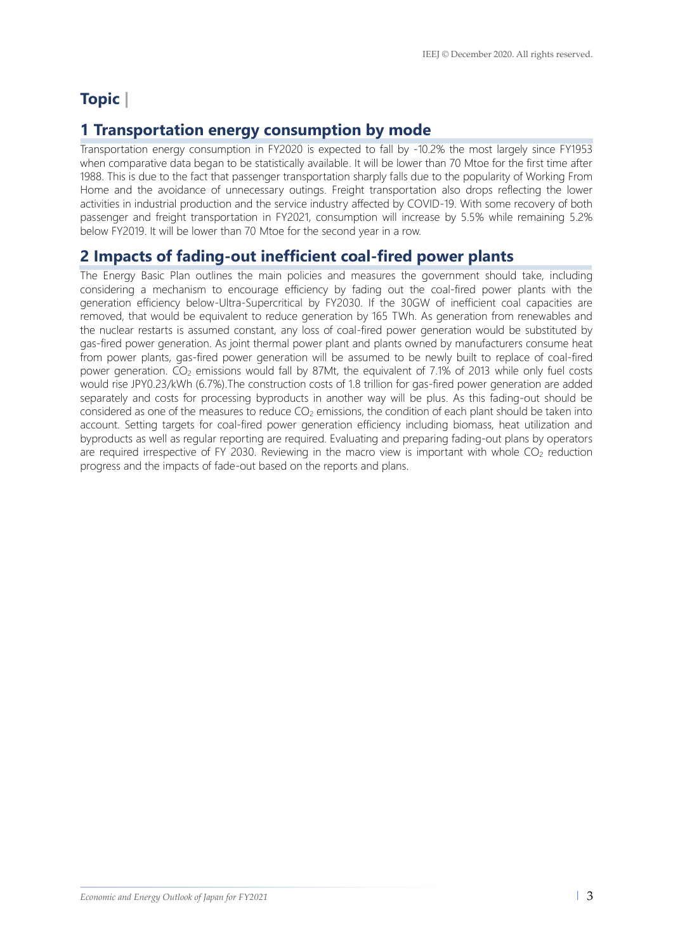# **Topic |**

## **1 Transportation energy consumption by mode**

Transportation energy consumption in FY2020 is expected to fall by -10.2% the most largely since FY1953 when comparative data began to be statistically available. It will be lower than 70 Mtoe for the first time after 1988. This is due to the fact that passenger transportation sharply falls due to the popularity of Working From Home and the avoidance of unnecessary outings. Freight transportation also drops reflecting the lower activities in industrial production and the service industry affected by COVID-19. With some recovery of both passenger and freight transportation in FY2021, consumption will increase by 5.5% while remaining 5.2% below FY2019. It will be lower than 70 Mtoe for the second year in a row.

## **2 Impacts of fading-out inefficient coal-fired power plants**

The Energy Basic Plan outlines the main policies and measures the government should take, including considering a mechanism to encourage efficiency by fading out the coal-fired power plants with the generation efficiency below-Ultra-Supercritical by FY2030. If the 30GW of inefficient coal capacities are removed, that would be equivalent to reduce generation by 165 TWh. As generation from renewables and the nuclear restarts is assumed constant, any loss of coal-fired power generation would be substituted by gas-fired power generation. As joint thermal power plant and plants owned by manufacturers consume heat from power plants, gas-fired power generation will be assumed to be newly built to replace of coal-fired power generation.  $CO<sub>2</sub>$  emissions would fall by 87Mt, the equivalent of 7.1% of 2013 while only fuel costs would rise JPY0.23/kWh (6.7%).The construction costs of 1.8 trillion for gas-fired power generation are added separately and costs for processing byproducts in another way will be plus. As this fading-out should be considered as one of the measures to reduce  $CO<sub>2</sub>$  emissions, the condition of each plant should be taken into account. Setting targets for coal-fired power generation efficiency including biomass, heat utilization and byproducts as well as regular reporting are required. Evaluating and preparing fading-out plans by operators are required irrespective of FY 2030. Reviewing in the macro view is important with whole  $CO<sub>2</sub>$  reduction progress and the impacts of fade-out based on the reports and plans.